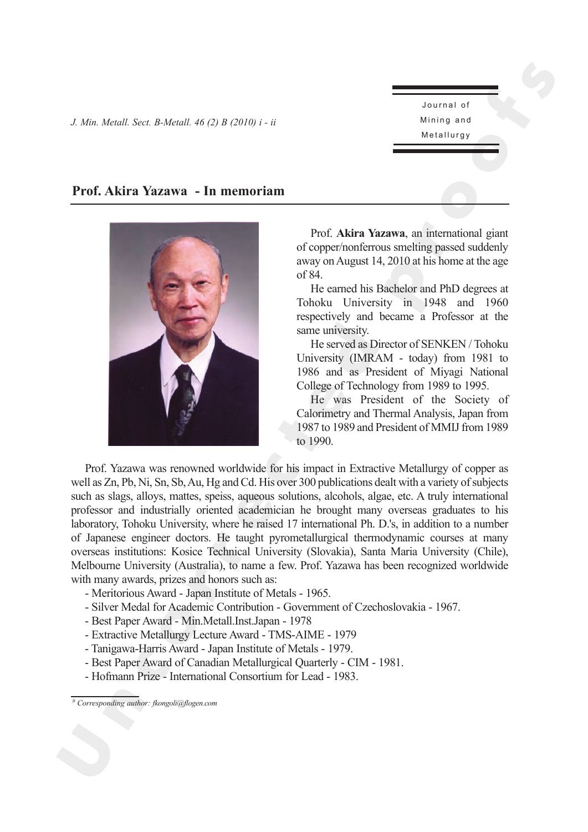Journal of Mining and Metallurgy

## **Prof. Akira Yazawa - In memoriam**



Prof. **Akira Yazawa**, an international giant of copper/nonferrous smelting passed suddenly away on August 14, 2010 at his home at the age of 84.

He earned his Bachelor and PhD degrees at Tohoku University in 1948 and 1960 respectively and became a Professor at the same university.

He served as Director of SENKEN / Tohoku University (IMRAM - today) from 1981 to 1986 and as President of Miyagi National College of Technology from 1989 to 1995.

He was President of the Society of Calorimetry and Thermal Analysis, Japan from 1987 to 1989 and President of MMIJ from 1989 to 1990.

Prof. Yazawa was renowned worldwide for his impact in Extractive Metallurgy of copper as well as Zn, Pb, Ni, Sn, Sb, Au, Hg and Cd. His over 300 publications dealt with a variety of subjects such as slags, alloys, mattes, speiss, aqueous solutions, alcohols, algae, etc. A truly international professor and industrially oriented academician he brought many overseas graduates to his laboratory, Tohoku University, where he raised 17 international Ph. D.'s, in addition to a number of Japanese engineer doctors. He taught pyrometallurgical thermodynamic courses at many overseas institutions: Kosice Technical University (Slovakia), Santa Maria University (Chile), Melbourne University (Australia), to name a few. Prof. Yazawa has been recognized worldwide with many awards, prizes and honors such as:

- Meritorious Award Japan Institute of Metals 1965.
- Silver Medal for Academic Contribution Government of Czechoslovakia 1967.
- Best Paper Award Min.Metall.Inst.Japan 1978
- Extractive Metallurgy Lecture Award TMS-AIME 1979
- Tanigawa-Harris Award Japan Institute of Metals 1979.
- Best Paper Award of Canadian Metallurgical Quarterly CIM 1981.
- Hofmann Prize International Consortium for Lead 1983.

*<sup>#</sup> Corresponding author: fkongoli@flogen.com*